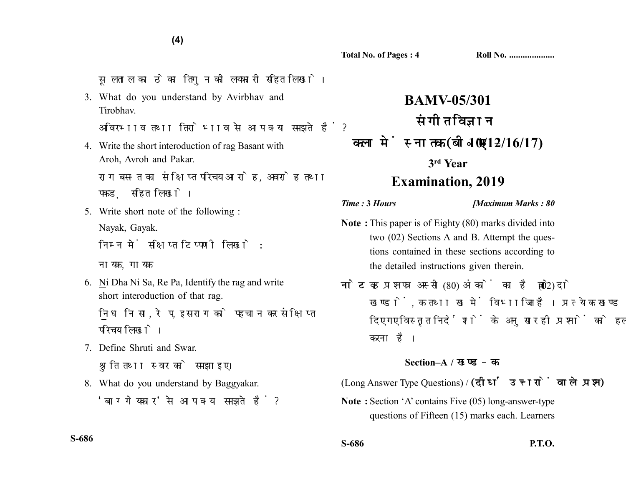**Total No. of Pages : 4 Roll No. ....................**

सलताल का ठेका तिगन की लयकारी सहित लिखो।

3. What do you understand by Avirbhav and Tirobhav.

अविरभाव तथा तिरोभाव से आप क्या समझते हैं?

4. Write the short interoduction of rag Basant with Aroh, Avroh and Pakar.

राग बसन्त का संक्षिप्त परिचय आरोह, अवरोह तथा पकड सहित लिखो।

5. Write short note of the following : Nayak, Gayak.

निम्न में सक्षिप्त टिप्पणी लिखो :

नायक. गायक

6. Ni Dha Ni Sa, Re Pa, Identify the rag and write short interoduction of that rag.

नि ध नि सा. रे प. इस राग को पहचान कर संक्षिप्त परिचय लिखो।

- 7. Define Shruti and Swar. श्रति तथा स्वर को समझाइए।
- 8. What do you understand by Baggyakar. 'बाग्गेयकार' से आप क्या समझते हैं?

**BAMV-05/301** संगीत विज्ञान **10/12/16/17) 3rd Year Examination, 2019**

*Time :* **3** *Hours [Maximum Marks : 80*

- **Note :** This paper is of Eighty (80) marks divided into two (02) Sections A and B. Attempt the questions contained in these sections according to the detailed instructions given therein.
- नोट: यह प्रश्नपत्र अस्सी (80) अंकों का है जो दो (02) खण्डों. क तथा ख में विभाजित है। प्रत्येक खण्ड में दिए गए विस्तृत निर्देशों के अनुसार ही प्रश्नों को हल करना है।

## **Section–A /**

(Long Answer Type Questions) / (दीर्घ उत्तरों वाले प्रश्न)

**Note :** Section 'A' contains Five (05) long-answer-type questions of Fifteen (15) marks each. Learners

**S-686**

**S-686 P.T.O.**